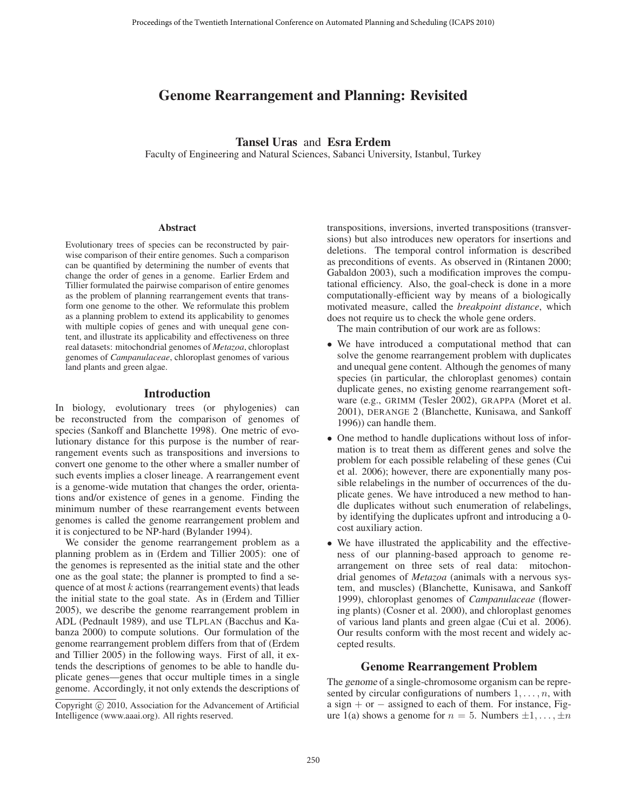# Genome Rearrangement and Planning: Revisited

# Tansel Uras and Esra Erdem

Faculty of Engineering and Natural Sciences, Sabanci University, Istanbul, Turkey

#### **Abstract**

Evolutionary trees of species can be reconstructed by pairwise comparison of their entire genomes. Such a comparison can be quantified by determining the number of events that change the order of genes in a genome. Earlier Erdem and Tillier formulated the pairwise comparison of entire genomes as the problem of planning rearrangement events that transform one genome to the other. We reformulate this problem as a planning problem to extend its applicability to genomes with multiple copies of genes and with unequal gene content, and illustrate its applicability and effectiveness on three real datasets: mitochondrial genomes of *Metazoa*, chloroplast genomes of *Campanulaceae*, chloroplast genomes of various land plants and green algae.

## Introduction

In biology, evolutionary trees (or phylogenies) can be reconstructed from the comparison of genomes of species (Sankoff and Blanchette 1998). One metric of evolutionary distance for this purpose is the number of rearrangement events such as transpositions and inversions to convert one genome to the other where a smaller number of such events implies a closer lineage. A rearrangement event is a genome-wide mutation that changes the order, orientations and/or existence of genes in a genome. Finding the minimum number of these rearrangement events between genomes is called the genome rearrangement problem and it is conjectured to be NP-hard (Bylander 1994).

We consider the genome rearrangement problem as a planning problem as in (Erdem and Tillier 2005): one of the genomes is represented as the initial state and the other one as the goal state; the planner is prompted to find a sequence of at most  $k$  actions (rearrangement events) that leads the initial state to the goal state. As in (Erdem and Tillier 2005), we describe the genome rearrangement problem in ADL (Pednault 1989), and use TLPLAN (Bacchus and Kabanza 2000) to compute solutions. Our formulation of the genome rearrangement problem differs from that of (Erdem and Tillier 2005) in the following ways. First of all, it extends the descriptions of genomes to be able to handle duplicate genes—genes that occur multiple times in a single genome. Accordingly, it not only extends the descriptions of

transpositions, inversions, inverted transpositions (transversions) but also introduces new operators for insertions and deletions. The temporal control information is described as preconditions of events. As observed in (Rintanen 2000; Gabaldon 2003), such a modification improves the computational efficiency. Also, the goal-check is done in a more computationally-efficient way by means of a biologically motivated measure, called the *breakpoint distance*, which does not require us to check the whole gene orders.

The main contribution of our work are as follows:

- We have introduced a computational method that can solve the genome rearrangement problem with duplicates and unequal gene content. Although the genomes of many species (in particular, the chloroplast genomes) contain duplicate genes, no existing genome rearrangement software (e.g., GRIMM (Tesler 2002), GRAPPA (Moret et al. 2001), DERANGE 2 (Blanchette, Kunisawa, and Sankoff 1996)) can handle them.
- One method to handle duplications without loss of information is to treat them as different genes and solve the problem for each possible relabeling of these genes (Cui et al. 2006); however, there are exponentially many possible relabelings in the number of occurrences of the duplicate genes. We have introduced a new method to handle duplicates without such enumeration of relabelings, by identifying the duplicates upfront and introducing a 0 cost auxiliary action.
- We have illustrated the applicability and the effectiveness of our planning-based approach to genome rearrangement on three sets of real data: mitochondrial genomes of *Metazoa* (animals with a nervous system, and muscles) (Blanchette, Kunisawa, and Sankoff 1999), chloroplast genomes of *Campanulaceae* (flowering plants) (Cosner et al. 2000), and chloroplast genomes of various land plants and green algae (Cui et al. 2006). Our results conform with the most recent and widely accepted results.

## Genome Rearrangement Problem

The genome of a single-chromosome organism can be represented by circular configurations of numbers  $1, \ldots, n$ , with a sign + or  $-$  assigned to each of them. For instance, Figure 1(a) shows a genome for  $n = 5$ . Numbers  $\pm 1, \ldots, \pm n$ 

Copyright  $\odot$  2010, Association for the Advancement of Artificial Intelligence (www.aaai.org). All rights reserved.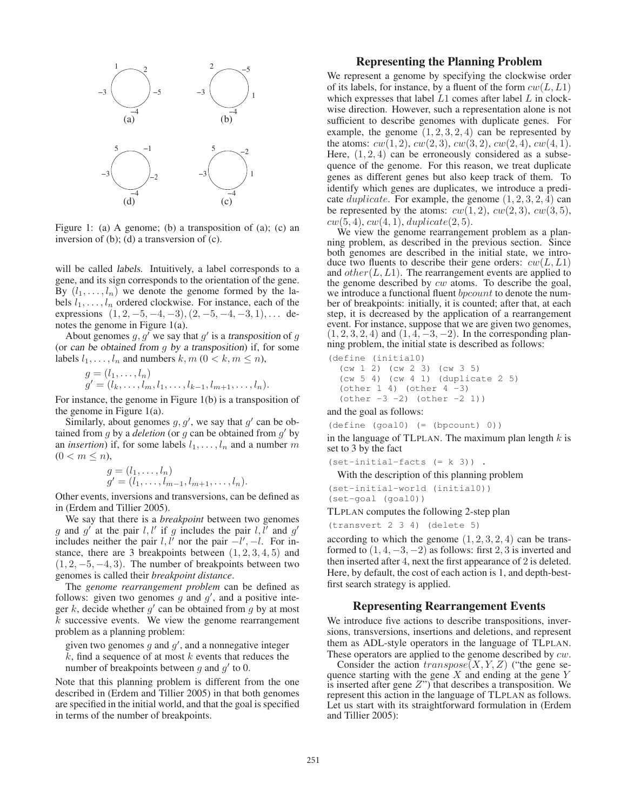

Figure 1: (a) A genome; (b) a transposition of (a); (c) an inversion of (b); (d) a transversion of (c).

will be called labels. Intuitively, a label corresponds to a gene, and its sign corresponds to the orientation of the gene. By  $(l_1, \ldots, l_n)$  we denote the genome formed by the labels  $l_1, \ldots, l_n$  ordered clockwise. For instance, each of the expressions  $(1, 2, -5, -4, -3), (2, -5, -4, -3, 1), \ldots$  denotes the genome in Figure 1(a).

About genomes  $g, g'$  we say that  $g'$  is a transposition of g (or can be obtained from  $g$  by a transposition) if, for some labels  $l_1, \ldots, l_n$  and numbers  $k, m \ (0 \leq k, m \leq n)$ ,

$$
g = (l_1, \ldots, l_n) g' = (l_k, \ldots, l_m, l_1, \ldots, l_{k-1}, l_{m+1}, \ldots, l_n).
$$

For instance, the genome in Figure 1(b) is a transposition of the genome in Figure 1(a).

Similarly, about genomes  $g, g'$ , we say that  $g'$  can be obtained from  $g$  by a *deletion* (or  $g$  can be obtained from  $g'$  by an *insertion*) if, for some labels  $l_1, \ldots, l_n$  and a number m  $(0 < m \leq n)$ ,

$$
g = (l_1, \dots, l_n) g' = (l_1, \dots, l_{m-1}, l_{m+1}, \dots, l_n).
$$

Other events, inversions and transversions, can be defined as in (Erdem and Tillier 2005).

We say that there is a *breakpoint* between two genomes g and g' at the pair  $l, l'$  if g includes the pair  $l, l'$  and g' includes neither the pair  $l, l'$  nor the pair  $-l', -l$ . For instance, there are 3 breakpoints between  $(1, 2, 3, 4, 5)$  and  $(1, 2, -5, -4, 3)$ . The number of breakpoints between two genomes is called their *breakpoint distance*.

The *genome rearrangement problem* can be defined as follows: given two genomes  $g$  and  $g'$ , and a positive integer k, decide whether  $g'$  can be obtained from g by at most  $\overline{k}$  successive events. We view the genome rearrangement problem as a planning problem:

given two genomes  $g$  and  $g'$ , and a nonnegative integer  $k$ , find a sequence of at most  $k$  events that reduces the

number of breakpoints between  $g$  and  $g'$  to 0.

Note that this planning problem is different from the one described in (Erdem and Tillier 2005) in that both genomes are specified in the initial world, and that the goal is specified in terms of the number of breakpoints.

## Representing the Planning Problem

We represent a genome by specifying the clockwise order of its labels, for instance, by a fluent of the form  $cw(L, L1)$ which expresses that label  $L1$  comes after label  $L$  in clockwise direction. However, such a representation alone is not sufficient to describe genomes with duplicate genes. For example, the genome  $(1, 2, 3, 2, 4)$  can be represented by the atoms:  $cw(1, 2), cw(2, 3), cw(3, 2), cw(2, 4), cw(4, 1).$ Here,  $(1, 2, 4)$  can be erroneously considered as a subsequence of the genome. For this reason, we treat duplicate genes as different genes but also keep track of them. To identify which genes are duplicates, we introduce a predicate *duplicate*. For example, the genome  $(1, 2, 3, 2, 4)$  can be represented by the atoms:  $cw(1, 2)$ ,  $cw(2, 3)$ ,  $cw(3, 5)$ ,

 $cw(5, 4), cw(4, 1), duplicate(2, 5).$ <br>We view the genome rearrangement problem as a planning problem, as described in the previous section. Since both genomes are described in the initial state, we introduce two fluents to describe their gene orders:  $cw(L, L1)$ and  $other(L, L1)$ . The rearrangement events are applied to the genome described by cw atoms. To describe the goal, we introduce a functional fluent *bpcount* to denote the number of breakpoints: initially, it is counted; after that, at each step, it is decreased by the application of a rearrangement event. For instance, suppose that we are given two genomes,  $(1, 2, 3, 2, 4)$  and  $(1, 4, -3, -2)$ . In the corresponding planning problem, the initial state is described as follows:

(define (initial0)

```
(cw 1 2) (cw 2 3) (cw 3 5)
(cw 5 4) (cw 4 1) (duplicate 2 5)
\text{(other 1 4)} \quad \text{(other 4 -3)}(\text{other } -3 -2) (\text{other } -2 1))
```
and the goal as follows:

 $(detine (goal0) (= (bpcount) 0))$ 

in the language of TLPLAN. The maximum plan length  $k$  is set to 3 by the fact

(set-initial-facts (= k 3)) .

With the description of this planning problem

(set-initial-world (initial0)) (set-goal (goal0))

TLPLAN computes the following 2-step plan

(transvert 2 3 4) (delete 5)

according to which the genome  $(1, 2, 3, 2, 4)$  can be transformed to  $(1, 4, -3, -2)$  as follows: first 2, 3 is inverted and then inserted after 4, next the first appearance of 2 is deleted. Here, by default, the cost of each action is 1, and depth-bestfirst search strategy is applied.

### Representing Rearrangement Events

We introduce five actions to describe transpositions, inversions, transversions, insertions and deletions, and represent them as ADL-style operators in the language of TLPLAN. These operators are applied to the genome described by  $cw$ .

Consider the action  $transpose(X, Y, Z)$  ("the gene sequence starting with the gene  $X$  and ending at the gene  $Y$ is inserted after gene  $Z$ ") that describes a transposition. We represent this action in the language of TLPLAN as follows. Let us start with its straightforward formulation in (Erdem and Tillier 2005):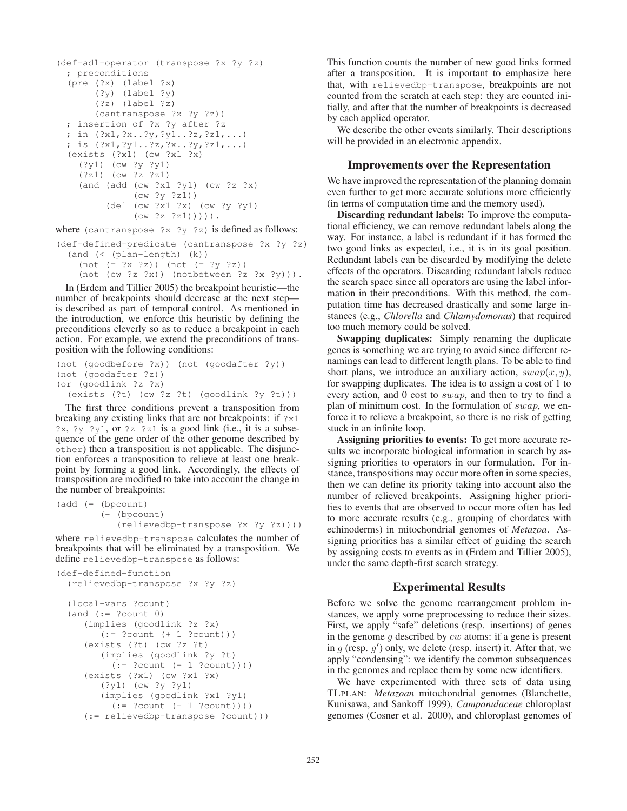```
(def-adl-operator (transpose ?x ?y ?z)
 ; preconditions
  (pre (?x) (label ?x)
       (?y) (label ?y)
       (?z) (label ?z)
       (cantranspose ?x ?y ?z))
 ; insertion of ?x ?y after ?z
 ; in (?x1,?x..?y,?y1..?z,?z1,...)
 ; is (?x1,?y1..?z,?x..?y,?z1,...)
  (exists (?x1) (cw ?x1 ?x)
    (?y1) (cw ?y ?y1)
    (?z1) (cw ?z ?z1)
    (and (add (cw ?x1 ?y1) (cw ?z ?x)
              (cw ?y ?z1))
         (del (cw ?x1 ?x) (cw ?y ?y1)
              (cw ?z ?z1))))).
```
where (cantranspose ?x ?y ?z) is defined as follows:

(def-defined-predicate (cantranspose ?x ?y ?z) (and (< (plan-length) (k)) (not (= ?x ?z)) (not (= ?y ?z))

(not (cw ?z ?x)) (notbetween ?z ?x ?y))).

In (Erdem and Tillier 2005) the breakpoint heuristic—the number of breakpoints should decrease at the next step is described as part of temporal control. As mentioned in the introduction, we enforce this heuristic by defining the preconditions cleverly so as to reduce a breakpoint in each action. For example, we extend the preconditions of transposition with the following conditions:

```
(not (goodbefore ?x)) (not (goodafter ?y))
(not (goodafter ?z))
(or (goodlink ?z ?x)
  (exists (?t) (cw ?z ?t) (goodlink ?y ?t)))
```
The first three conditions prevent a transposition from breaking any existing links that are not breakpoints: if ?x1  $?x, ?y$   $?y1, or ?z$   $?z1$  is a good link (i.e., it is a subsequence of the gene order of the other genome described by other) then a transposition is not applicable. The disjunction enforces a transposition to relieve at least one breakpoint by forming a good link. Accordingly, the effects of transposition are modified to take into account the change in the number of breakpoints:

```
(add (= (bpcount)
        (- (bpcount)
           (relievedbp-transpose ?x ?y ?z))))
```
where relievedbp-transpose calculates the number of breakpoints that will be eliminated by a transposition. We define relievedbp-transpose as follows:

```
(def-defined-function
  (relievedbp-transpose ?x ?y ?z)
  (local-vars ?count)
  (and := ?count 0)(implies (goodlink ?z ?x)
        (:= ?count (+ 1 ?count)))
     (exists (?t) (cw ?z ?t)
        (implies (goodlink ?y ?t)
          (:= ?count (+ 1 ?count)))(exists (?x1) (cw ?x1 ?x)
        (?y1) (cw ?y ?y1)
        (implies (goodlink ?x1 ?y1)
          (:= ?count (+ 1 ?count)))(:= relievedbp-transpose ?count)))
```
This function counts the number of new good links formed after a transposition. It is important to emphasize here that, with relievedbp-transpose, breakpoints are not counted from the scratch at each step: they are counted initially, and after that the number of breakpoints is decreased by each applied operator.

We describe the other events similarly. Their descriptions will be provided in an electronic appendix.

#### Improvements over the Representation

We have improved the representation of the planning domain even further to get more accurate solutions more efficiently (in terms of computation time and the memory used).

Discarding redundant labels: To improve the computational efficiency, we can remove redundant labels along the way. For instance, a label is redundant if it has formed the two good links as expected, i.e., it is in its goal position. Redundant labels can be discarded by modifying the delete effects of the operators. Discarding redundant labels reduce the search space since all operators are using the label information in their preconditions. With this method, the computation time has decreased drastically and some large instances (e.g., *Chlorella* and *Chlamydomonas*) that required too much memory could be solved.

Swapping duplicates: Simply renaming the duplicate genes is something we are trying to avoid since different renamings can lead to different length plans. To be able to find short plans, we introduce an auxiliary action,  $swap(x, y)$ , for swapping duplicates. The idea is to assign a cost of 1 to every action, and 0 cost to *swap*, and then to try to find a plan of minimum cost. In the formulation of swap, we enforce it to relieve a breakpoint, so there is no risk of getting stuck in an infinite loop.

Assigning priorities to events: To get more accurate results we incorporate biological information in search by assigning priorities to operators in our formulation. For instance, transpositions may occur more often in some species, then we can define its priority taking into account also the number of relieved breakpoints. Assigning higher priorities to events that are observed to occur more often has led to more accurate results (e.g., grouping of chordates with echinoderms) in mitochondrial genomes of *Metazoa*. Assigning priorities has a similar effect of guiding the search by assigning costs to events as in (Erdem and Tillier 2005), under the same depth-first search strategy.

#### Experimental Results

Before we solve the genome rearrangement problem instances, we apply some preprocessing to reduce their sizes. First, we apply "safe" deletions (resp. insertions) of genes in the genome  $q$  described by  $cw$  atoms: if a gene is present in  $g$  (resp.  $g'$ ) only, we delete (resp. insert) it. After that, we apply "condensing": we identify the common subsequences in the genomes and replace them by some new identifiers.

We have experimented with three sets of data using TLPLAN: *Metazoan* mitochondrial genomes (Blanchette, Kunisawa, and Sankoff 1999), *Campanulaceae* chloroplast genomes (Cosner et al. 2000), and chloroplast genomes of